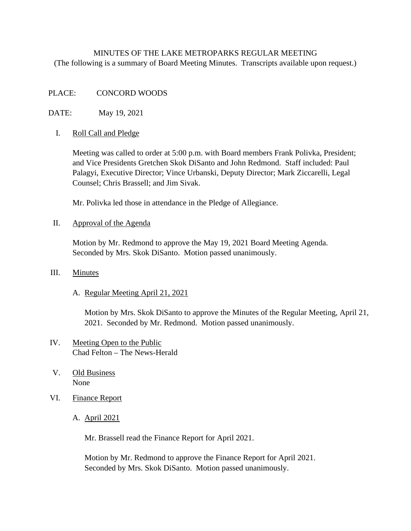# MINUTES OF THE LAKE METROPARKS REGULAR MEETING (The following is a summary of Board Meeting Minutes. Transcripts available upon request.)

### PLACE: CONCORD WOODS

DATE: May 19, 2021

### I. Roll Call and Pledge

Meeting was called to order at 5:00 p.m. with Board members Frank Polivka, President; and Vice Presidents Gretchen Skok DiSanto and John Redmond. Staff included: Paul Palagyi, Executive Director; Vince Urbanski, Deputy Director; Mark Ziccarelli, Legal Counsel; Chris Brassell; and Jim Sivak.

Mr. Polivka led those in attendance in the Pledge of Allegiance.

#### II. Approval of the Agenda

Motion by Mr. Redmond to approve the May 19, 2021 Board Meeting Agenda. Seconded by Mrs. Skok DiSanto. Motion passed unanimously.

### III. Minutes

### A. Regular Meeting April 21, 2021

Motion by Mrs. Skok DiSanto to approve the Minutes of the Regular Meeting, April 21, 2021. Seconded by Mr. Redmond. Motion passed unanimously.

# IV. Meeting Open to the Public Chad Felton – The News-Herald

- V. Old Business None
- VI. Finance Report
	- A. April 2021

Mr. Brassell read the Finance Report for April 2021.

 Motion by Mr. Redmond to approve the Finance Report for April 2021. Seconded by Mrs. Skok DiSanto. Motion passed unanimously.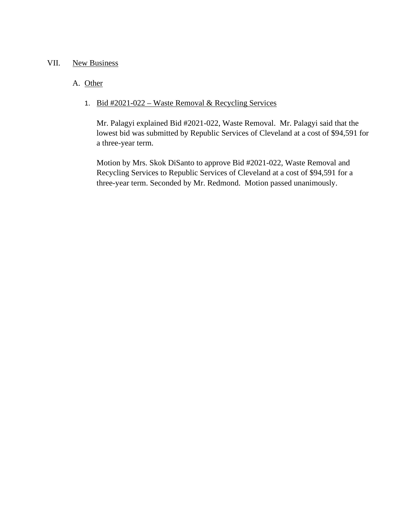## VII. New Business

# A. Other

# 1. Bid #2021-022 – Waste Removal & Recycling Services

Mr. Palagyi explained Bid #2021-022, Waste Removal. Mr. Palagyi said that the lowest bid was submitted by Republic Services of Cleveland at a cost of \$94,591 for a three-year term.

Motion by Mrs. Skok DiSanto to approve Bid #2021-022, Waste Removal and Recycling Services to Republic Services of Cleveland at a cost of \$94,591 for a three-year term. Seconded by Mr. Redmond. Motion passed unanimously.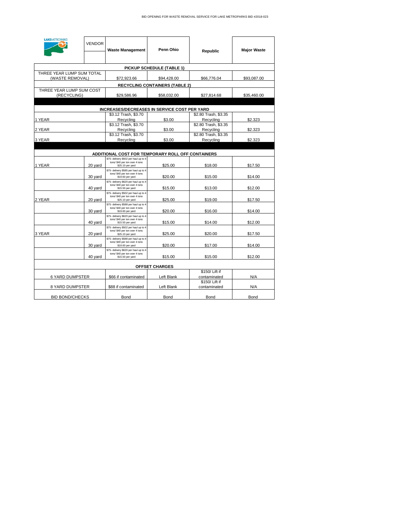| <b>LAKEMETROPARKS</b>                        | <b>VENDOR</b> | <b>Waste Management</b>                                                                    | Penn Ohio                             | Republic                          | <b>Major Waste</b> |
|----------------------------------------------|---------------|--------------------------------------------------------------------------------------------|---------------------------------------|-----------------------------------|--------------------|
|                                              |               |                                                                                            | PICKUP SCHEDULE (TABLE 1)             |                                   |                    |
| THREE YEAR LUMP SUM TOTAL<br>(WASTE REMOVAL) |               | \$72,923.66                                                                                | \$94,428.00                           | \$66,776.04                       | \$93,087.00        |
|                                              |               |                                                                                            | <b>RECYCLING CONTAINERS (TABLE 2)</b> |                                   |                    |
| THREE YEAR LUMP SUM COST<br>(RECYCLING)      |               | \$29,586.96                                                                                | \$58,032.00                           | \$27,814.68                       | \$35,460.00        |
|                                              |               |                                                                                            |                                       |                                   |                    |
|                                              |               | INCREASES/DECREASES IN SERVICE COST PER YARD                                               |                                       |                                   |                    |
| 1 YEAR                                       |               | \$3.12 Trash, \$3.70<br>Recycling                                                          | \$3.00                                | \$2.80 Trash, \$3.35<br>Recycling | \$2.323            |
| 2 YEAR                                       |               | \$3.12 Trash, \$3.70<br>Recycling                                                          | \$3.00                                | \$2.80 Trash, \$3.35<br>Recycling | \$2.323            |
| 3 YEAR                                       |               | \$3.12 Trash, \$3.70<br>Recycling                                                          | \$3.00                                | \$2.80 Trash, \$3.35<br>Recycling | \$2.323            |
|                                              |               |                                                                                            |                                       |                                   |                    |
|                                              |               | ADDITIONAL COST FOR TEMPORARY ROLL OFF CONTAINERS                                          |                                       |                                   |                    |
| 1 YEAR                                       | 20 vard       | \$75- delivery \$502 per haul up to 4<br>tons/\$40 per ton over 4 tons<br>\$25.10 per yard | \$25.00                               | \$18.00                           | \$17.50            |
|                                              | 30 yard       | \$75- delivery \$585 per haul up to 4<br>tons/\$40 per ton over 4 tons<br>\$19.60 per yard | \$20.00                               | \$15.00                           | \$14.00            |
|                                              | 40 yard       | \$75- delivery \$620 per haul up to 4<br>tons/\$40 per ton over 4 tons<br>\$15.50 per yard | \$15.00                               | \$13.00                           | \$12.00            |
| 2 YEAR                                       | 20 yard       | \$75- delivery \$502 per haul up to 4<br>tons/\$40 per ton over 4 tons<br>\$25.10 per yard | \$25.00                               | \$19.00                           | \$17.50            |
|                                              | 30 yard       | \$75- delivery \$588 per haul up to 4<br>tons/\$40 per ton over 4 tons<br>\$19.60 per yard | \$20.00                               | \$16.00                           | \$14.00            |
|                                              | 40 yard       | \$75- delivery \$620 per haul up to 4<br>tons/\$40 per ton over 4 tons<br>\$15.50 per yard | \$15.00                               | \$14.00                           | \$12.00            |
| 3 YEAR                                       | 20 yard       | \$75- delivery \$502 per haul up to 4<br>tons/\$40 per ton over 4 tons<br>\$25.10 per yard | \$25.00                               | \$20.00                           | \$17.50            |
|                                              | 30 yard       | \$75- delivery \$588 per haul up to 4<br>tons/\$40 per ton over 4 tons<br>\$19.60 per yard | \$20.00                               | \$17.00                           | \$14.00            |
|                                              | 40 yard       | \$75- delivery \$620 per haul up to 4<br>tons/\$40 per ton over 4 tons<br>\$15.50 per yard | \$15.00                               | \$15.00                           | \$12.00            |
|                                              |               |                                                                                            | <b>OFFSET CHARGES</b>                 |                                   |                    |
| <b>6 YARD DUMPSTER</b>                       |               | \$66 if contaminated                                                                       | Left Blank                            | \$150/Lift if<br>contaminated     | N/A                |
| 8 YARD DUMPSTER                              |               | \$88 if contaminated                                                                       | Left Blank                            | \$150/ Lift if<br>contaminated    | N/A                |
| <b>BID BOND/CHECKS</b>                       |               | Bond                                                                                       | Bond                                  | Bond                              | Bond               |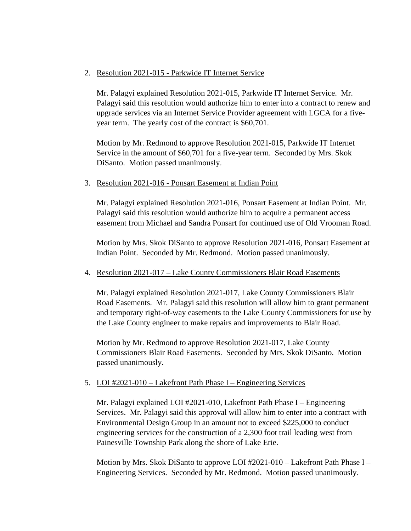## 2. Resolution 2021-015 - Parkwide IT Internet Service

Mr. Palagyi explained Resolution 2021-015, Parkwide IT Internet Service. Mr. Palagyi said this resolution would authorize him to enter into a contract to renew and upgrade services via an Internet Service Provider agreement with LGCA for a fiveyear term. The yearly cost of the contract is \$60,701.

Motion by Mr. Redmond to approve Resolution 2021-015, Parkwide IT Internet Service in the amount of \$60,701 for a five-year term. Seconded by Mrs. Skok DiSanto. Motion passed unanimously.

### 3. Resolution 2021-016 - Ponsart Easement at Indian Point

Mr. Palagyi explained Resolution 2021-016, Ponsart Easement at Indian Point. Mr. Palagyi said this resolution would authorize him to acquire a permanent access easement from Michael and Sandra Ponsart for continued use of Old Vrooman Road.

Motion by Mrs. Skok DiSanto to approve Resolution 2021-016, Ponsart Easement at Indian Point. Seconded by Mr. Redmond. Motion passed unanimously.

### 4. Resolution 2021-017 – Lake County Commissioners Blair Road Easements

Mr. Palagyi explained Resolution 2021-017, Lake County Commissioners Blair Road Easements. Mr. Palagyi said this resolution will allow him to grant permanent and temporary right-of-way easements to the Lake County Commissioners for use by the Lake County engineer to make repairs and improvements to Blair Road.

Motion by Mr. Redmond to approve Resolution 2021-017, Lake County Commissioners Blair Road Easements. Seconded by Mrs. Skok DiSanto. Motion passed unanimously.

# 5. LOI #2021-010 – Lakefront Path Phase I – Engineering Services

Mr. Palagyi explained LOI #2021-010, Lakefront Path Phase I – Engineering Services. Mr. Palagyi said this approval will allow him to enter into a contract with Environmental Design Group in an amount not to exceed \$225,000 to conduct engineering services for the construction of a 2,300 foot trail leading west from Painesville Township Park along the shore of Lake Erie.

Motion by Mrs. Skok DiSanto to approve LOI #2021-010 – Lakefront Path Phase I – Engineering Services. Seconded by Mr. Redmond. Motion passed unanimously.